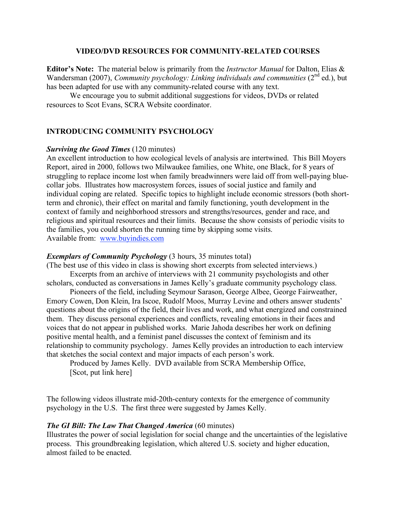### **VIDEO/DVD RESOURCES FOR COMMUNITY-RELATED COURSES**

**Editor's Note:** The material below is primarily from the *Instructor Manual* for Dalton, Elias & Wandersman (2007), *Community psychology: Linking individuals and communities* (2<sup>nd</sup> ed.), but has been adapted for use with any community-related course with any text.

We encourage you to submit additional suggestions for videos, DVDs or related resources to Scot Evans, SCRA Website coordinator.

## **INTRODUCING COMMUNITY PSYCHOLOGY**

### *Surviving the Good Times* (120 minutes)

An excellent introduction to how ecological levels of analysis are intertwined. This Bill Moyers Report, aired in 2000, follows two Milwaukee families, one White, one Black, for 8 years of struggling to replace income lost when family breadwinners were laid off from well-paying bluecollar jobs. Illustrates how macrosystem forces, issues of social justice and family and individual coping are related. Specific topics to highlight include economic stressors (both shortterm and chronic), their effect on marital and family functioning, youth development in the context of family and neighborhood stressors and strengths/resources, gender and race, and religious and spiritual resources and their limits. Because the show consists of periodic visits to the families, you could shorten the running time by skipping some visits. Available from: www.buyindies.com

### *Exemplars of Community Psychology* (3 hours, 35 minutes total)

(The best use of this video in class is showing short excerpts from selected interviews.) Excerpts from an archive of interviews with 21 community psychologists and other scholars, conducted as conversations in James Kelly's graduate community psychology class.

Pioneers of the field, including Seymour Sarason, George Albee, George Fairweather, Emory Cowen, Don Klein, Ira Iscoe, Rudolf Moos, Murray Levine and others answer students' questions about the origins of the field, their lives and work, and what energized and constrained them. They discuss personal experiences and conflicts, revealing emotions in their faces and voices that do not appear in published works. Marie Jahoda describes her work on defining positive mental health, and a feminist panel discusses the context of feminism and its relationship to community psychology. James Kelly provides an introduction to each interview that sketches the social context and major impacts of each person's work.

Produced by James Kelly. DVD available from SCRA Membership Office, [Scot, put link here]

The following videos illustrate mid-20th-century contexts for the emergence of community psychology in the U.S. The first three were suggested by James Kelly.

### *The GI Bill: The Law That Changed America* (60 minutes)

Illustrates the power of social legislation for social change and the uncertainties of the legislative process. This groundbreaking legislation, which altered U.S. society and higher education, almost failed to be enacted.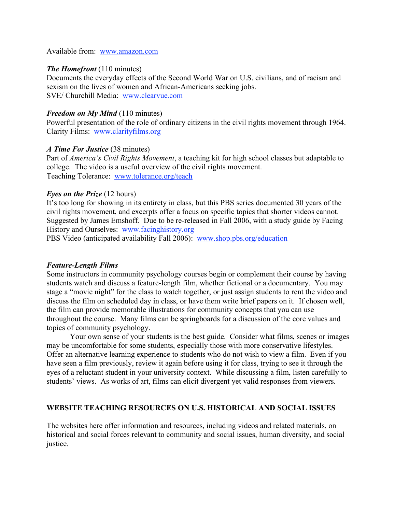Available from: www.amazon.com

### *The Homefront* (110 minutes)

Documents the everyday effects of the Second World War on U.S. civilians, and of racism and sexism on the lives of women and African-Americans seeking jobs. SVE/ Churchill Media: www.clearvue.com

### *Freedom on My Mind* (110 minutes)

Powerful presentation of the role of ordinary citizens in the civil rights movement through 1964. Clarity Films: www.clarityfilms.org

### *A Time For Justice* (38 minutes)

Part of *America's Civil Rights Movement*, a teaching kit for high school classes but adaptable to college. The video is a useful overview of the civil rights movement. Teaching Tolerance: www.tolerance.org/teach

### *Eyes on the Prize* (12 hours)

It's too long for showing in its entirety in class, but this PBS series documented 30 years of the civil rights movement, and excerpts offer a focus on specific topics that shorter videos cannot. Suggested by James Emshoff. Due to be re-released in Fall 2006, with a study guide by Facing History and Ourselves: www.facinghistory.org

PBS Video (anticipated availability Fall 2006): www.shop.pbs.org/education

### *Feature-Length Films*

Some instructors in community psychology courses begin or complement their course by having students watch and discuss a feature-length film, whether fictional or a documentary. You may stage a "movie night" for the class to watch together, or just assign students to rent the video and discuss the film on scheduled day in class, or have them write brief papers on it. If chosen well, the film can provide memorable illustrations for community concepts that you can use throughout the course. Many films can be springboards for a discussion of the core values and topics of community psychology.

Your own sense of your students is the best guide. Consider what films, scenes or images may be uncomfortable for some students, especially those with more conservative lifestyles. Offer an alternative learning experience to students who do not wish to view a film. Even if you have seen a film previously, review it again before using it for class, trying to see it through the eyes of a reluctant student in your university context. While discussing a film, listen carefully to students' views. As works of art, films can elicit divergent yet valid responses from viewers.

## **WEBSITE TEACHING RESOURCES ON U.S. HISTORICAL AND SOCIAL ISSUES**

The websites here offer information and resources, including videos and related materials, on historical and social forces relevant to community and social issues, human diversity, and social justice.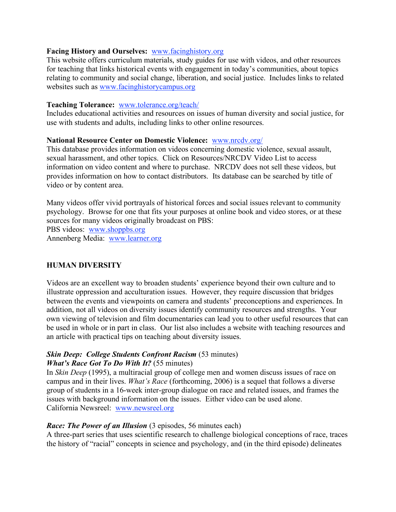## **Facing History and Ourselves:** www.facinghistory.org

This website offers curriculum materials, study guides for use with videos, and other resources for teaching that links historical events with engagement in today's communities, about topics relating to community and social change, liberation, and social justice. Includes links to related websites such as www.facinghistorycampus.org

## **Teaching Tolerance:** www.tolerance.org/teach/

Includes educational activities and resources on issues of human diversity and social justice, for use with students and adults, including links to other online resources.

## **National Resource Center on Domestic Violence:** www.nrcdv.org/

This database provides information on videos concerning domestic violence, sexual assault, sexual harassment, and other topics. Click on Resources/NRCDV Video List to access information on video content and where to purchase. NRCDV does not sell these videos, but provides information on how to contact distributors. Its database can be searched by title of video or by content area.

Many videos offer vivid portrayals of historical forces and social issues relevant to community psychology. Browse for one that fits your purposes at online book and video stores, or at these sources for many videos originally broadcast on PBS:

PBS videos: www.shoppbs.org Annenberg Media: www.learner.org

# **HUMAN DIVERSITY**

Videos are an excellent way to broaden students' experience beyond their own culture and to illustrate oppression and acculturation issues. However, they require discussion that bridges between the events and viewpoints on camera and students' preconceptions and experiences. In addition, not all videos on diversity issues identify community resources and strengths. Your own viewing of television and film documentaries can lead you to other useful resources that can be used in whole or in part in class. Our list also includes a website with teaching resources and an article with practical tips on teaching about diversity issues.

### *Skin Deep: College Students Confront Racism* (53 minutes) *What's Race Got To Do With It?* (55 minutes)

In *Skin Deep* (1995), a multiracial group of college men and women discuss issues of race on campus and in their lives. *What's Race* (forthcoming, 2006) is a sequel that follows a diverse group of students in a 16-week inter-group dialogue on race and related issues, and frames the issues with background information on the issues. Either video can be used alone. California Newsreel: www.newsreel.org

### *Race: The Power of an Illusion* (3 episodes, 56 minutes each)

A three-part series that uses scientific research to challenge biological conceptions of race, traces the history of "racial" concepts in science and psychology, and (in the third episode) delineates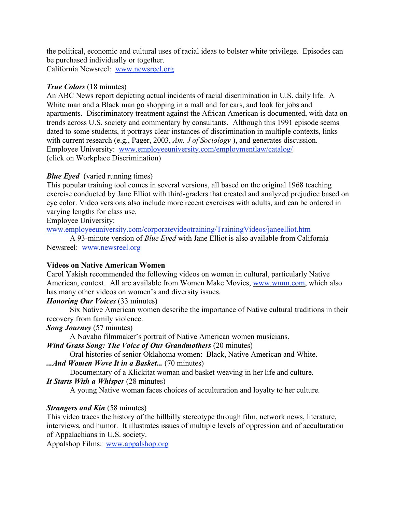the political, economic and cultural uses of racial ideas to bolster white privilege. Episodes can be purchased individually or together. California Newsreel: www.newsreel.org

*True Colors* (18 minutes)

An ABC News report depicting actual incidents of racial discrimination in U.S. daily life. A White man and a Black man go shopping in a mall and for cars, and look for jobs and apartments. Discriminatory treatment against the African American is documented, with data on trends across U.S. society and commentary by consultants. Although this 1991 episode seems dated to some students, it portrays clear instances of discrimination in multiple contexts, links with current research (e.g., Pager, 2003, *Am. J of Sociology* ), and generates discussion. Employee University: www.employeeuniversity.com/employmentlaw/catalog/ (click on Workplace Discrimination)

# *Blue Eyed* (varied running times)

This popular training tool comes in several versions, all based on the original 1968 teaching exercise conducted by Jane Elliot with third-graders that created and analyzed prejudice based on eye color. Video versions also include more recent exercises with adults, and can be ordered in varying lengths for class use.

Employee University:

www.employeeuniversity.com/corporatevideotraining/TrainingVideos/janeelliot.htm

A 93-minute version of *Blue Eyed* with Jane Elliot is also available from California Newsreel: www.newsreel.org

# **Videos on Native American Women**

Carol Yakish recommended the following videos on women in cultural, particularly Native American, context. All are available from Women Make Movies, www.wmm.com, which also has many other videos on women's and diversity issues.

*Honoring Our Voices* (33 minutes)

Six Native American women describe the importance of Native cultural traditions in their recovery from family violence.

*Song Journey* (57 minutes)

A Navaho filmmaker's portrait of Native American women musicians.

*Wind Grass Song: The Voice of Our Grandmothers* (20 minutes)

Oral histories of senior Oklahoma women: Black, Native American and White.

*...And Women Wove It in a Basket...* (70 minutes)

Documentary of a Klickitat woman and basket weaving in her life and culture.

*It Starts With a Whisper* (28 minutes)

A young Native woman faces choices of acculturation and loyalty to her culture.

# *Strangers and Kin* (58 minutes)

This video traces the history of the hillbilly stereotype through film, network news, literature, interviews, and humor. It illustrates issues of multiple levels of oppression and of acculturation of Appalachians in U.S. society.

Appalshop Films: www.appalshop.org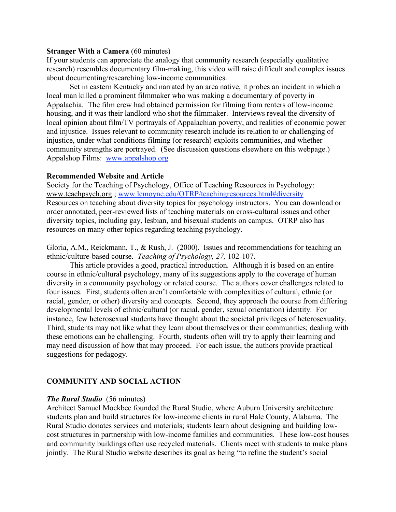### **Stranger With a Camera** (60 minutes)

If your students can appreciate the analogy that community research (especially qualitative research) resembles documentary film-making, this video will raise difficult and complex issues about documenting/researching low-income communities.

Set in eastern Kentucky and narrated by an area native, it probes an incident in which a local man killed a prominent filmmaker who was making a documentary of poverty in Appalachia. The film crew had obtained permission for filming from renters of low-income housing, and it was their landlord who shot the filmmaker. Interviews reveal the diversity of local opinion about film/TV portrayals of Appalachian poverty, and realities of economic power and injustice. Issues relevant to community research include its relation to or challenging of injustice, under what conditions filming (or research) exploits communities, and whether community strengths are portrayed. (See discussion questions elsewhere on this webpage.) Appalshop Films: www.appalshop.org

### **Recommended Website and Article**

Society for the Teaching of Psychology, Office of Teaching Resources in Psychology: www.teachpsych.org ; www.lemoyne.edu/OTRP/teachingresources.html#diversity Resources on teaching about diversity topics for psychology instructors. You can download or order annotated, peer-reviewed lists of teaching materials on cross-cultural issues and other diversity topics, including gay, lesbian, and bisexual students on campus. OTRP also has resources on many other topics regarding teaching psychology.

Gloria, A.M., Reickmann, T., & Rush, J. (2000). Issues and recommendations for teaching an ethnic/culture-based course. *Teaching of Psychology, 27,* 102-107.

This article provides a good, practical introduction. Although it is based on an entire course in ethnic/cultural psychology, many of its suggestions apply to the coverage of human diversity in a community psychology or related course. The authors cover challenges related to four issues. First, students often aren't comfortable with complexities of cultural, ethnic (or racial, gender, or other) diversity and concepts. Second, they approach the course from differing developmental levels of ethnic/cultural (or racial, gender, sexual orientation) identity. For instance, few heterosexual students have thought about the societal privileges of heterosexuality. Third, students may not like what they learn about themselves or their communities; dealing with these emotions can be challenging. Fourth, students often will try to apply their learning and may need discussion of how that may proceed. For each issue, the authors provide practical suggestions for pedagogy.

# **COMMUNITY AND SOCIAL ACTION**

# *The Rural Studio* (56 minutes)

Architect Samuel Mockbee founded the Rural Studio, where Auburn University architecture students plan and build structures for low-income clients in rural Hale County, Alabama. The Rural Studio donates services and materials; students learn about designing and building lowcost structures in partnership with low-income families and communities. These low-cost houses and community buildings often use recycled materials. Clients meet with students to make plans jointly. The Rural Studio website describes its goal as being "to refine the student's social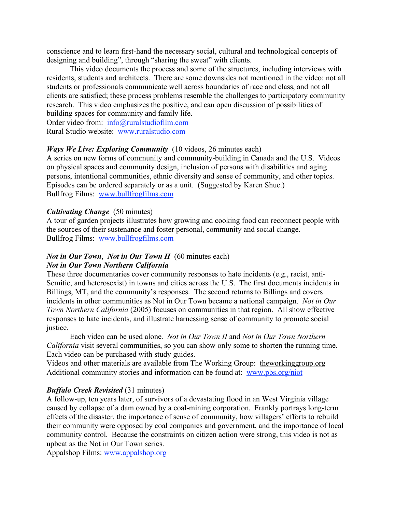conscience and to learn first-hand the necessary social, cultural and technological concepts of designing and building", through "sharing the sweat" with clients.

This video documents the process and some of the structures, including interviews with residents, students and architects. There are some downsides not mentioned in the video: not all students or professionals communicate well across boundaries of race and class, and not all clients are satisfied; these process problems resemble the challenges to participatory community research. This video emphasizes the positive, and can open discussion of possibilities of building spaces for community and family life.

Order video from: info@ruralstudiofilm.com Rural Studio website: www.ruralstudio.com

# *Ways We Live: Exploring Community* (10 videos, 26 minutes each)

A series on new forms of community and community-building in Canada and the U.S. Videos on physical spaces and community design, inclusion of persons with disabilities and aging persons, intentional communities, ethnic diversity and sense of community, and other topics. Episodes can be ordered separately or as a unit. (Suggested by Karen Shue.) Bullfrog Films: www.bullfrogfilms.com

# *Cultivating Change* (50 minutes)

A tour of garden projects illustrates how growing and cooking food can reconnect people with the sources of their sustenance and foster personal, community and social change. Bullfrog Films: www.bullfrogfilms.com

### *Not in Our Town*, *Not in Our Town II* (60 minutes each) *Not in Our Town Northern California*

These three documentaries cover community responses to hate incidents (e.g., racist, anti-Semitic, and heterosexist) in towns and cities across the U.S. The first documents incidents in Billings, MT, and the community's responses. The second returns to Billings and covers incidents in other communities as Not in Our Town became a national campaign. *Not in Our Town Northern California* (2005) focuses on communities in that region. All show effective responses to hate incidents, and illustrate harnessing sense of community to promote social justice.

Each video can be used alone. *Not in Our Town II* and *Not in Our Town Northern California* visit several communities, so you can show only some to shorten the running time. Each video can be purchased with study guides.

Videos and other materials are available from The Working Group: theworkinggroup.org Additional community stories and information can be found at: www.pbs.org/niot

# *Buffalo Creek Revisited* (31 minutes)

A follow-up, ten years later, of survivors of a devastating flood in an West Virginia village caused by collapse of a dam owned by a coal-mining corporation. Frankly portrays long-term effects of the disaster, the importance of sense of community, how villagers' efforts to rebuild their community were opposed by coal companies and government, and the importance of local community control. Because the constraints on citizen action were strong, this video is not as upbeat as the Not in Our Town series.

Appalshop Films: www.appalshop.org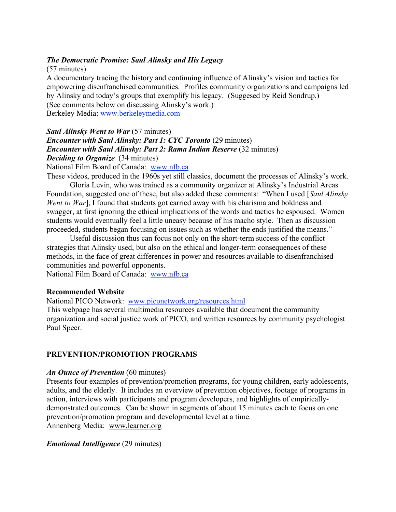## *The Democratic Promise: Saul Alinsky and His Legacy*

(57 minutes)

A documentary tracing the history and continuing influence of Alinsky's vision and tactics for empowering disenfranchised communities. Profiles community organizations and campaigns led by Alinsky and today's groups that exemplify his legacy. (Suggesed by Reid Sondrup.) (See comments below on discussing Alinsky's work.) Berkeley Media: www.berkeleymedia.com

# *Saul Alinsky Went to War* (57 minutes) *Encounter with Saul Alinsky: Part 1: CYC Toronto* (29 minutes) *Encounter with Saul Alinsky: Part 2: Rama Indian Reserve* (32 minutes) *Deciding to Organize* (34 minutes)

National Film Board of Canada: www.nfb.ca

These videos, produced in the 1960s yet still classics, document the processes of Alinsky's work.

Gloria Levin, who was trained as a community organizer at Alinsky's Industrial Areas Foundation, suggested one of these, but also added these comments: "When I used [*Saul Alinsky Went* to *War*], I found that students got carried away with his charisma and boldness and swagger, at first ignoring the ethical implications of the words and tactics he espoused. Women students would eventually feel a little uneasy because of his macho style. Then as discussion proceeded, students began focusing on issues such as whether the ends justified the means."

Useful discussion thus can focus not only on the short-term success of the conflict strategies that Alinsky used, but also on the ethical and longer-term consequences of these methods, in the face of great differences in power and resources available to disenfranchised communities and powerful opponents.

National Film Board of Canada: www.nfb.ca

# **Recommended Website**

National PICO Network: www.piconetwork.org/resources.html

This webpage has several multimedia resources available that document the community organization and social justice work of PICO, and written resources by community psychologist Paul Speer.

# **PREVENTION/PROMOTION PROGRAMS**

### *An Ounce of Prevention* (60 minutes)

Presents four examples of prevention/promotion programs, for young children, early adolescents, adults, and the elderly. It includes an overview of prevention objectives, footage of programs in action, interviews with participants and program developers, and highlights of empiricallydemonstrated outcomes. Can be shown in segments of about 15 minutes each to focus on one prevention/promotion program and developmental level at a time. Annenberg Media: www.learner.org

# *Emotional Intelligence* (29 minutes)